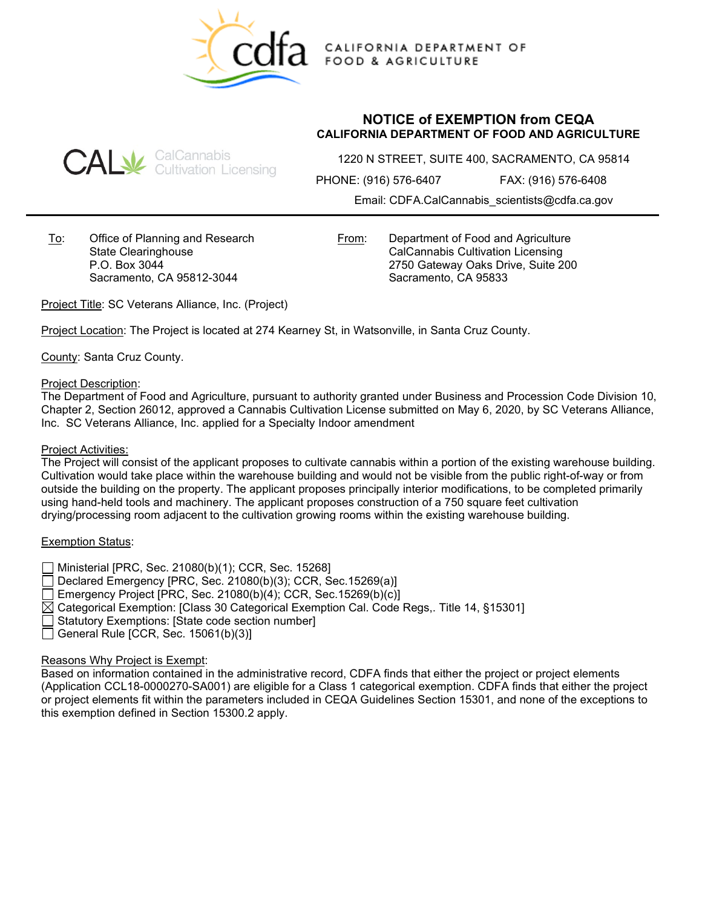

CALIFORNIA DEPARTMENT OF **FOOD & AGRICULTURE** 

## **CAL** SalCannabis<br>CAL Gultivation Licensing

**NOTICE of EXEMPTION from CEQA CALIFORNIA DEPARTMENT OF FOOD AND AGRICULTURE**

1220 N STREET, SUITE 400, SACRAMENTO, CA 95814

PHONE: (916) 576-6407 FAX: (916) 576-6408

Email: CDFA.CalCannabis\_scientists@cdfa.ca.gov

To: Office of Planning and Research State Clearinghouse P.O. Box 3044 Sacramento, CA 95812-3044

From: Department of Food and Agriculture CalCannabis Cultivation Licensing 2750 Gateway Oaks Drive, Suite 200 Sacramento, CA 95833

Project Title: SC Veterans Alliance, Inc. (Project)

Project Location: The Project is located at 274 Kearney St, in Watsonville, in Santa Cruz County.

County: Santa Cruz County.

Project Description:

The Department of Food and Agriculture, pursuant to authority granted under Business and Procession Code Division 10, Chapter 2, Section 26012, approved a Cannabis Cultivation License submitted on May 6, 2020, by SC Veterans Alliance, Inc. SC Veterans Alliance, Inc. applied for a Specialty Indoor amendment

## Project Activities:

The Project will consist of the applicant proposes to cultivate cannabis within a portion of the existing warehouse building. Cultivation would take place within the warehouse building and would not be visible from the public right-of-way or from outside the building on the property. The applicant proposes principally interior modifications, to be completed primarily using hand-held tools and machinery. The applicant proposes construction of a 750 square feet cultivation drying/processing room adjacent to the cultivation growing rooms within the existing warehouse building.

## Exemption Status:

- Ministerial [PRC, Sec. 21080(b)(1); CCR, Sec. 15268]
- Declared Emergency [PRC, Sec. 21080(b)(3); CCR, Sec.15269(a)]
- Emergency Project [PRC, Sec. 21080(b)(4); CCR, Sec.15269(b)(c)]
- $\boxtimes$  Categorical Exemption: [Class 30 Categorical Exemption Cal. Code Regs,. Title 14, §15301]
- Statutory Exemptions: [State code section number]
- General Rule [CCR, Sec.  $15061(b)(3)$ ]

## Reasons Why Project is Exempt:

Based on information contained in the administrative record, CDFA finds that either the project or project elements (Application CCL18-0000270-SA001) are eligible for a Class 1 categorical exemption. CDFA finds that either the project or project elements fit within the parameters included in CEQA Guidelines Section 15301, and none of the exceptions to this exemption defined in Section 15300.2 apply.